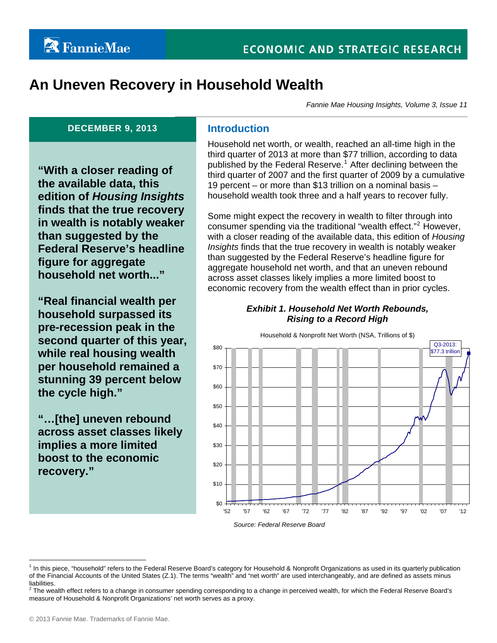# **An Uneven Recovery in Household Wealth**

*Fannie Mae Housing Insights, Volume 3, Issue 11* 

#### **DECEMBER 9, 2013** Introduction

**"With a closer reading of the available data, this edition of** *Housing Insights* **finds that the true recovery in wealth is notably weaker than suggested by the Federal Reserve's headline figure for aggregate household net worth..."** 

**"Real financial wealth per household surpassed its pre-recession peak in the second quarter of this year, while real housing wealth per household remained a stunning 39 percent below the cycle high."** 

**"…[the] uneven rebound across asset classes likely implies a more limited boost to the economic recovery."** 

Household net worth, or wealth, reached an all-time high in the third quarter of 2013 at more than \$77 trillion, according to data published by the Federal Reserve.<sup>[1](#page-0-0)</sup> After declining between the third quarter of 2007 and the first quarter of 2009 by a cumulative 19 percent – or more than \$13 trillion on a nominal basis – household wealth took three and a half years to recover fully.

Some might expect the recovery in wealth to filter through into consumer spending via the traditional "wealth effect."<sup>[2](#page-0-1)</sup> However, with a closer reading of the available data, this edition of *Housing Insights* finds that the true recovery in wealth is notably weaker than suggested by the Federal Reserve's headline figure for aggregate household net worth, and that an uneven rebound across asset classes likely implies a more limited boost to economic recovery from the wealth effect than in prior cycles.

### *Exhibit 1. Household Net Worth Rebounds, Rising to a Record High*



<span id="page-0-0"></span><sup>1</sup> In this piece, "household" refers to the Federal Reserve Board's category for Household & Nonprofit Organizations as used in its quarterly publication of the Financial Accounts of the United States (Z.1). The terms "wealth" and "net worth" are used interchangeably, and are defined as assets minus liabilities.

<span id="page-0-1"></span> $^2$  The wealth effect refers to a change in consumer spending corresponding to a change in perceived wealth, for which the Federal Reserve Board's measure of Household & Nonprofit Organizations' net worth serves as a proxy.

 $\overline{a}$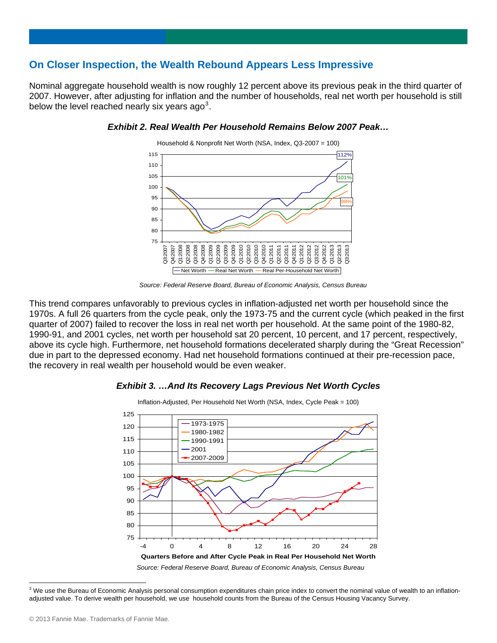# **On Closer Inspection, the Wealth Rebound Appears Less Impressive**

Nominal aggregate household wealth is now roughly 12 percent above its previous peak in the third quarter of 2007. However, after adjusting for inflation and the number of households, real net worth per household is still below the level reached nearly six years ago<sup>[3](#page-1-0)</sup>.



#### *Exhibit 2. Real Wealth Per Household Remains Below 2007 Peak…*

*Source: Federal Reserve Board, Bureau of Economic Analysis, Census Bureau*

This trend compares unfavorably to previous cycles in inflation-adjusted net worth per household since the 1970s. A full 26 quarters from the cycle peak, only the 1973-75 and the current cycle (which peaked in the first quarter of 2007) failed to recover the loss in real net worth per household. At the same point of the 1980-82, 1990-91, and 2001 cycles, net worth per household sat 20 percent, 10 percent, and 17 percent, respectively, above its cycle high. Furthermore, net household formations decelerated sharply during the "Great Recession" due in part to the depressed economy. Had net household formations continued at their pre-recession pace, the recovery in real wealth per household would be even weaker.

### *Exhibit 3. …And Its Recovery Lags Previous Net Worth Cycles*



<span id="page-1-0"></span> $3$  We use the Bureau of Economic Analysis personal consumption expenditures chain price index to convert the nominal value of wealth to an inflationadjusted value. To derive wealth per household, we use household counts from the Bureau of the Census Housing Vacancy Survey.

 $\overline{a}$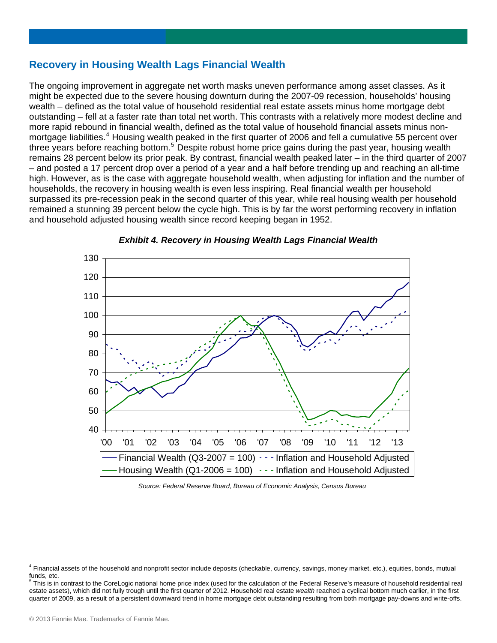# **Recovery in Housing Wealth Lags Financial Wealth**

The ongoing improvement in aggregate net worth masks uneven performance among asset classes. As it might be expected due to the severe housing downturn during the 2007-09 recession, households' housing wealth – defined as the total value of household residential real estate assets minus home mortgage debt outstanding – fell at a faster rate than total net worth. This contrasts with a relatively more modest decline and more rapid rebound in financial wealth, defined as the total value of household financial assets minus non-mortgage liabilities.<sup>[4](#page-2-0)</sup> Housing wealth peaked in the first quarter of 2006 and fell a cumulative 55 percent over three years before reaching bottom.<sup>[5](#page-2-1)</sup> Despite robust home price gains during the past year, housing wealth remains 28 percent below its prior peak. By contrast, financial wealth peaked later – in the third quarter of 2007 – and posted a 17 percent drop over a period of a year and a half before trending up and reaching an all-time high. However, as is the case with aggregate household wealth, when adjusting for inflation and the number of households, the recovery in housing wealth is even less inspiring. Real financial wealth per household surpassed its pre-recession peak in the second quarter of this year, while real housing wealth per household remained a stunning 39 percent below the cycle high. This is by far the worst performing recovery in inflation and household adjusted housing wealth since record keeping began in 1952.



*Exhibit 4. Recovery in Housing Wealth Lags Financial Wealth* 

 *Source: Federal Reserve Board, Bureau of Economic Analysis, Census Bureau*

 $\overline{a}$ 

<span id="page-2-0"></span><sup>&</sup>lt;sup>4</sup> Financial assets of the household and nonprofit sector include deposits (checkable, currency, savings, money market, etc.), equities, bonds, mutual funds, etc.<br><sup>5</sup> Thie is in

<span id="page-2-1"></span>This is in contrast to the CoreLogic national home price index (used for the calculation of the Federal Reserve's measure of household residential real estate assets), which did not fully trough until the first quarter of 2012. Household real estate *wealth* reached a cyclical bottom much earlier, in the first quarter of 2009, as a result of a persistent downward trend in home mortgage debt outstanding resulting from both mortgage pay-downs and write-offs.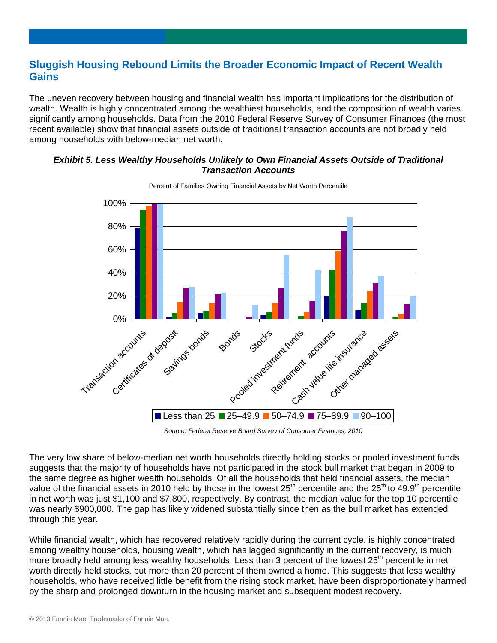# **Sluggish Housing Rebound Limits the Broader Economic Impact of Recent Wealth Gains**

The uneven recovery between housing and financial wealth has important implications for the distribution of wealth. Wealth is highly concentrated among the wealthiest households, and the composition of wealth varies significantly among households. Data from the 2010 Federal Reserve Survey of Consumer Finances (the most recent available) show that financial assets outside of traditional transaction accounts are not broadly held among households with below-median net worth.

#### *Exhibit 5. Less Wealthy Households Unlikely to Own Financial Assets Outside of Traditional Transaction Accounts*



Percent of Families Owning Financial Assets by Net Worth Percentile

 *Source: Federal Reserve Board Survey of Consumer Finances, 2010*

The very low share of below-median net worth households directly holding stocks or pooled investment funds suggests that the majority of households have not participated in the stock bull market that began in 2009 to the same degree as higher wealth households. Of all the households that held financial assets, the median value of the financial assets in 2010 held by those in the lowest 25<sup>th</sup> percentile and the 25<sup>th</sup> to 49.9<sup>th</sup> percentile in net worth was just \$1,100 and \$7,800, respectively. By contrast, the median value for the top 10 percentile was nearly \$900,000. The gap has likely widened substantially since then as the bull market has extended through this year.

While financial wealth, which has recovered relatively rapidly during the current cycle, is highly concentrated among wealthy households, housing wealth, which has lagged significantly in the current recovery, is much more broadly held among less wealthy households. Less than 3 percent of the lowest 25<sup>th</sup> percentile in net worth directly held stocks, but more than 20 percent of them owned a home. This suggests that less wealthy households, who have received little benefit from the rising stock market, have been disproportionately harmed by the sharp and prolonged downturn in the housing market and subsequent modest recovery.